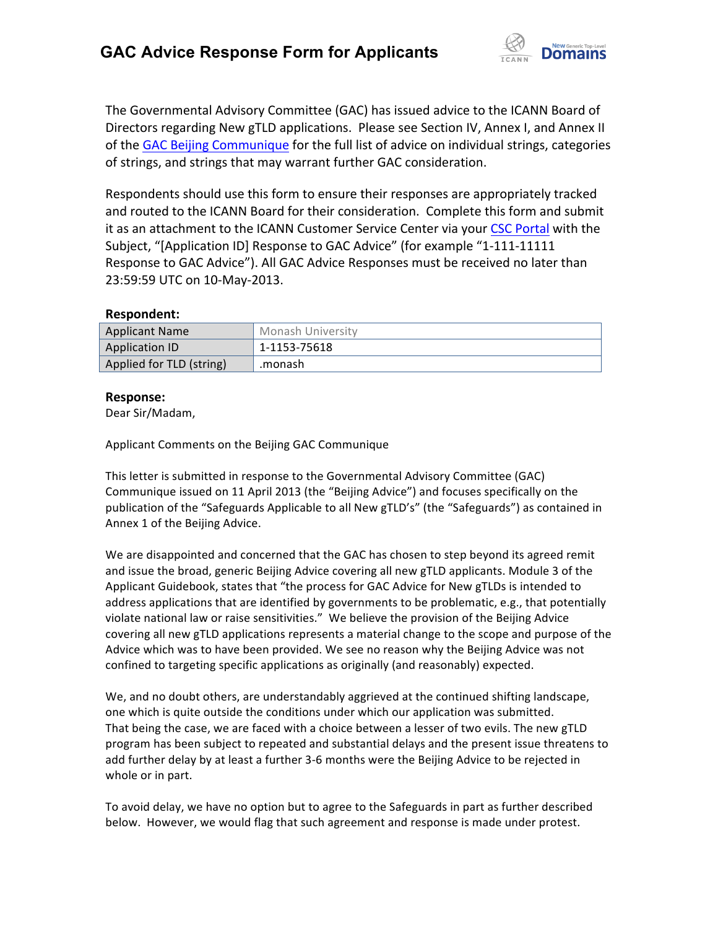

The Governmental Advisory Committee (GAC) has issued advice to the ICANN Board of Directors regarding New gTLD applications. Please see Section IV, Annex I, and Annex II of the GAC Beijing Communique for the full list of advice on individual strings, categories of strings, and strings that may warrant further GAC consideration.

Respondents should use this form to ensure their responses are appropriately tracked and routed to the ICANN Board for their consideration. Complete this form and submit it as an attachment to the ICANN Customer Service Center via your CSC Portal with the Subject, "[Application ID] Response to GAC Advice" (for example "1-111-11111 Response to GAC Advice"). All GAC Advice Responses must be received no later than 23:59:59 UTC on 10-May-2013.

#### **Respondent:**

| <b>Applicant Name</b>    | Monash University |
|--------------------------|-------------------|
| Application ID           | 1-1153-75618      |
| Applied for TLD (string) | .monash           |

### **Response:**

Dear Sir/Madam, 

Applicant Comments on the Beijing GAC Communique

This letter is submitted in response to the Governmental Advisory Committee (GAC) Communique issued on 11 April 2013 (the "Beijing Advice") and focuses specifically on the publication of the "Safeguards Applicable to all New gTLD's" (the "Safeguards") as contained in Annex 1 of the Beijing Advice.

We are disappointed and concerned that the GAC has chosen to step beyond its agreed remit and issue the broad, generic Beijing Advice covering all new gTLD applicants. Module 3 of the Applicant Guidebook, states that "the process for GAC Advice for New gTLDs is intended to address applications that are identified by governments to be problematic, e.g., that potentially violate national law or raise sensitivities." We believe the provision of the Beijing Advice covering all new gTLD applications represents a material change to the scope and purpose of the Advice which was to have been provided. We see no reason why the Beijing Advice was not confined to targeting specific applications as originally (and reasonably) expected.

We, and no doubt others, are understandably aggrieved at the continued shifting landscape, one which is quite outside the conditions under which our application was submitted. That being the case, we are faced with a choice between a lesser of two evils. The new gTLD program has been subject to repeated and substantial delays and the present issue threatens to add further delay by at least a further 3-6 months were the Beijing Advice to be rejected in whole or in part.

To avoid delay, we have no option but to agree to the Safeguards in part as further described below. However, we would flag that such agreement and response is made under protest.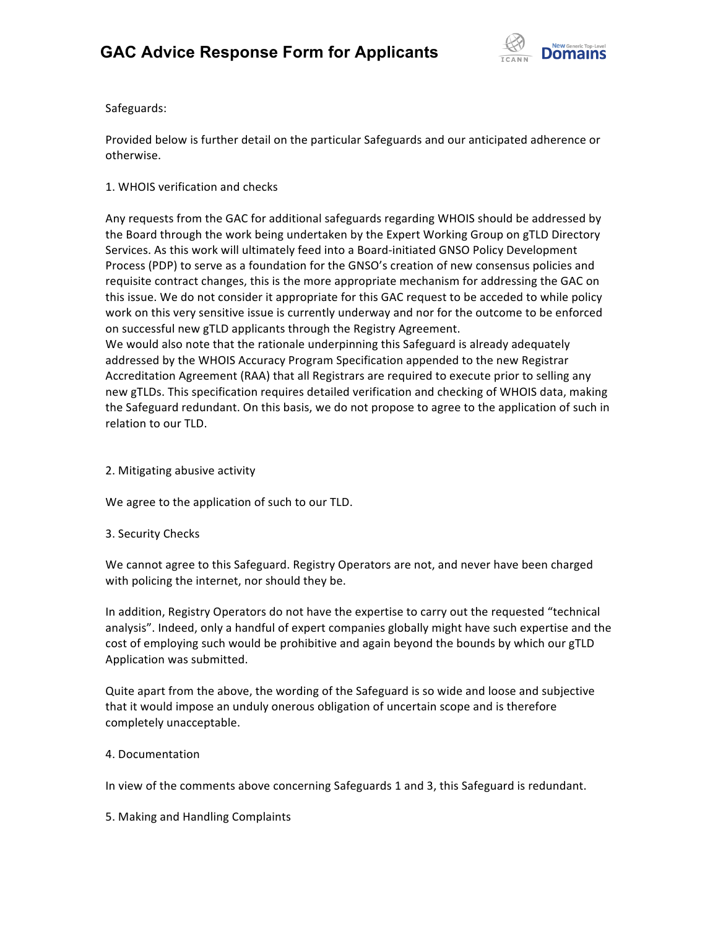

Safeguards: 

Provided below is further detail on the particular Safeguards and our anticipated adherence or otherwise. 

## 1. WHOIS verification and checks

Any requests from the GAC for additional safeguards regarding WHOIS should be addressed by the Board through the work being undertaken by the Expert Working Group on gTLD Directory Services. As this work will ultimately feed into a Board-initiated GNSO Policy Development Process (PDP) to serve as a foundation for the GNSO's creation of new consensus policies and requisite contract changes, this is the more appropriate mechanism for addressing the GAC on this issue. We do not consider it appropriate for this GAC request to be acceded to while policy work on this very sensitive issue is currently underway and nor for the outcome to be enforced on successful new gTLD applicants through the Registry Agreement.

We would also note that the rationale underpinning this Safeguard is already adequately addressed by the WHOIS Accuracy Program Specification appended to the new Registrar Accreditation Agreement (RAA) that all Registrars are required to execute prior to selling any new gTLDs. This specification requires detailed verification and checking of WHOIS data, making the Safeguard redundant. On this basis, we do not propose to agree to the application of such in relation to our TLD.

2. Mitigating abusive activity

We agree to the application of such to our TLD.

### 3. Security Checks

We cannot agree to this Safeguard. Registry Operators are not, and never have been charged with policing the internet, nor should they be.

In addition, Registry Operators do not have the expertise to carry out the requested "technical analysis". Indeed, only a handful of expert companies globally might have such expertise and the cost of employing such would be prohibitive and again beyond the bounds by which our gTLD Application was submitted.

Quite apart from the above, the wording of the Safeguard is so wide and loose and subjective that it would impose an unduly onerous obligation of uncertain scope and is therefore completely unacceptable.

### 4. Documentation

In view of the comments above concerning Safeguards 1 and 3, this Safeguard is redundant.

5. Making and Handling Complaints